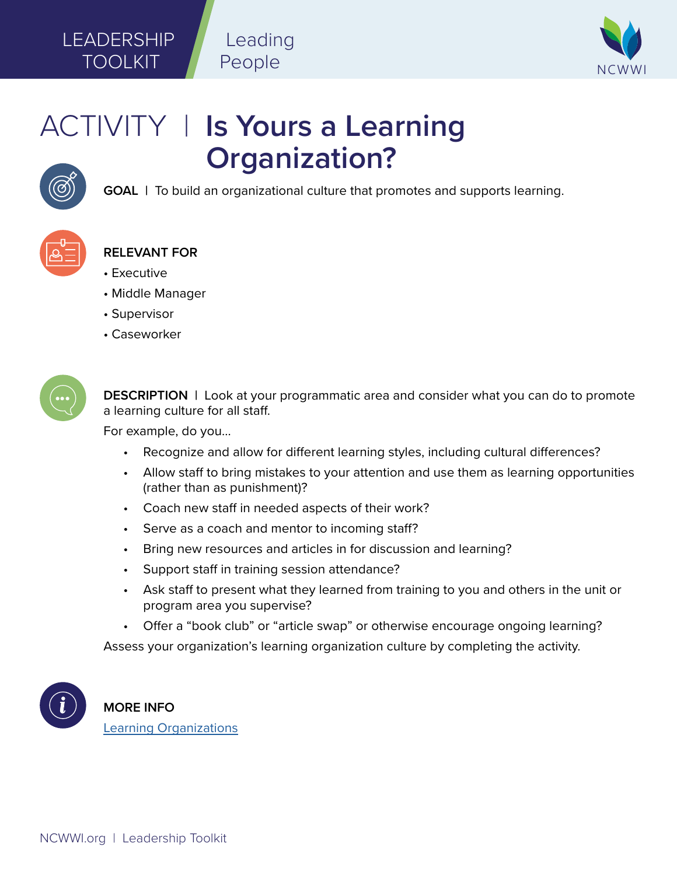## LEADERSHIP TOOLKIT

NCWWI

# ACTIVITY | **Is Yours a Learning Organization?**

Leading

People



**GOAL |** To build an organizational culture that promotes and supports learning.



### **RELEVANT FOR**

- Executive
- Middle Manager
- Supervisor
- Caseworker



**DESCRIPTION |** Look at your programmatic area and consider what you can do to promote a learning culture for all staff.

For example, do you...

- Recognize and allow for different learning styles, including cultural differences?
- Allow staff to bring mistakes to your attention and use them as learning opportunities (rather than as punishment)?
- Coach new staff in needed aspects of their work?
- Serve as a coach and mentor to incoming staff?
- Bring new resources and articles in for discussion and learning?
- Support staff in training session attendance?
- Ask staff to present what they learned from training to you and others in the unit or program area you supervise?
- Offer a "book club" or "article swap" or otherwise encourage ongoing learning?

Assess your organization's learning organization culture by completing the activity.



**MORE INFO**  [Learning Organizations](http://www.ncwwi.org/files/Learning_Organizations_1pager_5.pdf)